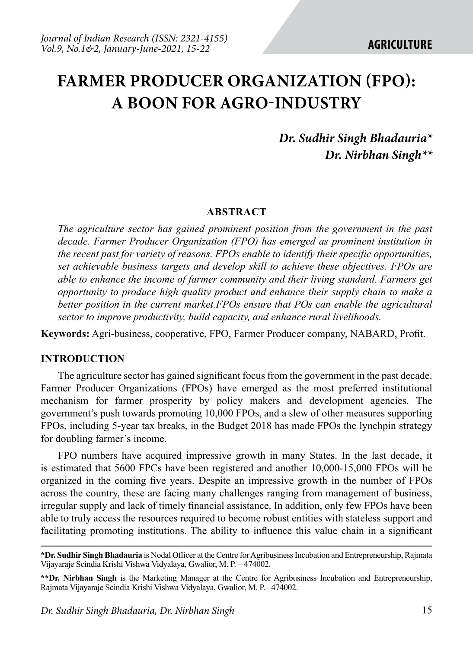# **FARMER PRODUCER ORGANIZATION (FPO): A BOON FOR AGRO-INDUSTRY**

# *Dr. Sudhir Singh Bhadauria\* Dr. Nirbhan Singh\*\**

#### **ABSTRACT**

*The agriculture sector has gained prominent position from the government in the past decade. Farmer Producer Organization (FPO) has emerged as prominent institution in the recent past for variety of reasons. FPOs enable to identify their specific opportunities, set achievable business targets and develop skill to achieve these objectives. FPOs are able to enhance the income of farmer community and their living standard. Farmers get opportunity to produce high quality product and enhance their supply chain to make a better position in the current market.FPOs ensure that POs can enable the agricultural sector to improve productivity, build capacity, and enhance rural livelihoods.*

**Keywords:** Agri-business, cooperative, FPO, Farmer Producer company, NABARD, Profit.

#### **INTRODUCTION**

The agriculture sector has gained significant focus from the government in the past decade. Farmer Producer Organizations (FPOs) have emerged as the most preferred institutional mechanism for farmer prosperity by policy makers and development agencies. The government's push towards promoting 10,000 FPOs, and a slew of other measures supporting FPOs, including 5-year tax breaks, in the Budget 2018 has made FPOs the lynchpin strategy for doubling farmer's income.

FPO numbers have acquired impressive growth in many States. In the last decade, it is estimated that 5600 FPCs have been registered and another 10,000-15,000 FPOs will be organized in the coming five years. Despite an impressive growth in the number of FPOs across the country, these are facing many challenges ranging from management of business, irregular supply and lack of timely financial assistance. In addition, only few FPOs have been able to truly access the resources required to become robust entities with stateless support and facilitating promoting institutions. The ability to influence this value chain in a significant

**<sup>\*</sup>Dr. Sudhir Singh Bhadauria** is Nodal Officer at the Centre for Agribusiness Incubation and Entrepreneurship, Rajmata Vijayaraje Scindia Krishi Vishwa Vidyalaya, Gwalior, M. P. – 474002.

**<sup>\*\*</sup>Dr. Nirbhan Singh** is the Marketing Manager at the Centre for Agribusiness Incubation and Entrepreneurship, Rajmata Vijayaraje Scindia Krishi Vishwa Vidyalaya, Gwalior, M. P.– 474002.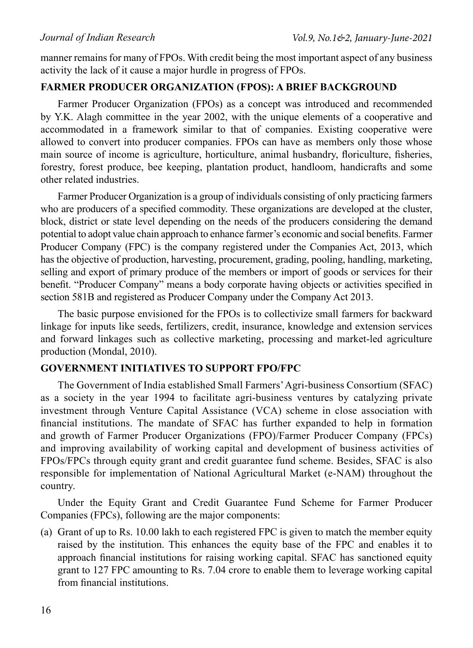manner remains for many of FPOs. With credit being the most important aspect of any business activity the lack of it cause a major hurdle in progress of FPOs.

#### **FARMER PRODUCER ORGANIZATION (FPOS): A BRIEF BACKGROUND**

Farmer Producer Organization (FPOs) as a concept was introduced and recommended by Y.K. Alagh committee in the year 2002, with the unique elements of a cooperative and accommodated in a framework similar to that of companies. Existing cooperative were allowed to convert into producer companies. FPOs can have as members only those whose main source of income is agriculture, horticulture, animal husbandry, floriculture, fisheries, forestry, forest produce, bee keeping, plantation product, handloom, handicrafts and some other related industries.

Farmer Producer Organization is a group of individuals consisting of only practicing farmers who are producers of a specified commodity. These organizations are developed at the cluster, block, district or state level depending on the needs of the producers considering the demand potential to adopt value chain approach to enhance farmer's economic and social benefits. Farmer Producer Company (FPC) is the company registered under the Companies Act, 2013, which has the objective of production, harvesting, procurement, grading, pooling, handling, marketing, selling and export of primary produce of the members or import of goods or services for their benefit. "Producer Company" means a body corporate having objects or activities specified in section 581B and registered as Producer Company under the Company Act 2013.

The basic purpose envisioned for the FPOs is to collectivize small farmers for backward linkage for inputs like seeds, fertilizers, credit, insurance, knowledge and extension services and forward linkages such as collective marketing, processing and market-led agriculture production (Mondal, 2010).

### **GOVERNMENT INITIATIVES TO SUPPORT FPO/FPC**

The Government of India established Small Farmers' Agri-business Consortium (SFAC) as a society in the year 1994 to facilitate agri-business ventures by catalyzing private investment through Venture Capital Assistance (VCA) scheme in close association with financial institutions. The mandate of SFAC has further expanded to help in formation and growth of Farmer Producer Organizations (FPO)/Farmer Producer Company (FPCs) and improving availability of working capital and development of business activities of FPOs/FPCs through equity grant and credit guarantee fund scheme. Besides, SFAC is also responsible for implementation of National Agricultural Market (e-NAM) throughout the country.

Under the Equity Grant and Credit Guarantee Fund Scheme for Farmer Producer Companies (FPCs), following are the major components:

(a) Grant of up to Rs. 10.00 lakh to each registered FPC is given to match the member equity raised by the institution. This enhances the equity base of the FPC and enables it to approach financial institutions for raising working capital. SFAC has sanctioned equity grant to 127 FPC amounting to Rs. 7.04 crore to enable them to leverage working capital from financial institutions.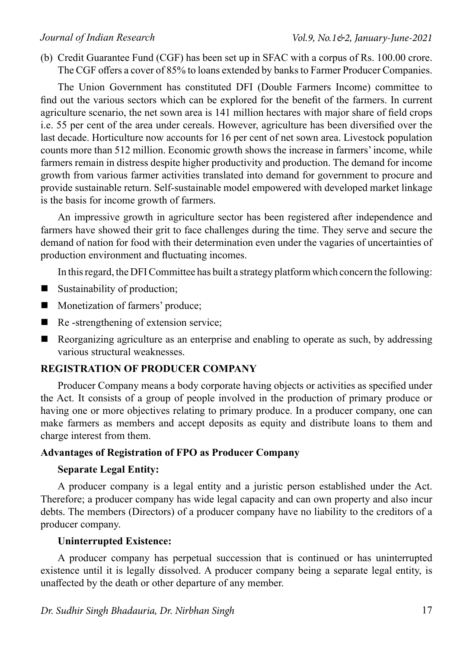(b) Credit Guarantee Fund (CGF) has been set up in SFAC with a corpus of Rs. 100.00 crore. The CGF offers a cover of 85% to loans extended by banks to Farmer Producer Companies.

The Union Government has constituted DFI (Double Farmers Income) committee to find out the various sectors which can be explored for the benefit of the farmers. In current agriculture scenario, the net sown area is 141 million hectares with major share of field crops i.e. 55 per cent of the area under cereals. However, agriculture has been diversified over the last decade. Horticulture now accounts for 16 per cent of net sown area. Livestock population counts more than 512 million. Economic growth shows the increase in farmers' income, while farmers remain in distress despite higher productivity and production. The demand for income growth from various farmer activities translated into demand for government to procure and provide sustainable return. Self-sustainable model empowered with developed market linkage is the basis for income growth of farmers.

An impressive growth in agriculture sector has been registered after independence and farmers have showed their grit to face challenges during the time. They serve and secure the demand of nation for food with their determination even under the vagaries of uncertainties of production environment and fluctuating incomes.

In this regard, the DFI Committee has built a strategy platform which concern the following:

- Sustainability of production;
- **Monetization of farmers' produce;**
- Re -strengthening of extension service;
- Reorganizing agriculture as an enterprise and enabling to operate as such, by addressing various structural weaknesses.

### **REGISTRATION OF PRODUCER COMPANY**

Producer Company means a body corporate having objects or activities as specified under the Act. It consists of a group of people involved in the production of primary produce or having one or more objectives relating to primary produce. In a producer company, one can make farmers as members and accept deposits as equity and distribute loans to them and charge interest from them.

### **Advantages of Registration of FPO as Producer Company**

#### **Separate Legal Entity:**

A producer company is a legal entity and a juristic person established under the Act. Therefore; a producer company has wide legal capacity and can own property and also incur debts. The members (Directors) of a producer company have no liability to the creditors of a producer company.

### **Uninterrupted Existence:**

A producer company has perpetual succession that is continued or has uninterrupted existence until it is legally dissolved. A producer company being a separate legal entity, is unaffected by the death or other departure of any member.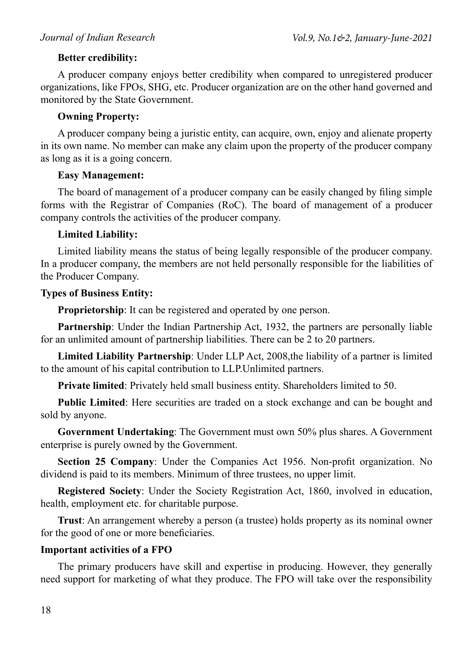#### **Better credibility:**

A producer company enjoys better credibility when compared to unregistered producer organizations, like FPOs, SHG, etc. Producer organization are on the other hand governed and monitored by the State Government.

#### **Owning Property:**

A producer company being a juristic entity, can acquire, own, enjoy and alienate property in its own name. No member can make any claim upon the property of the producer company as long as it is a going concern.

#### **Easy Management:**

The board of management of a producer company can be easily changed by filing simple forms with the Registrar of Companies (RoC). The board of management of a producer company controls the activities of the producer company.

# **Limited Liability:**

Limited liability means the status of being legally responsible of the producer company. In a producer company, the members are not held personally responsible for the liabilities of the Producer Company.

### **Types of Business Entity:**

**Proprietorship**: It can be registered and operated by one person.

**Partnership**: Under the Indian Partnership Act, 1932, the partners are personally liable for an unlimited amount of partnership liabilities. There can be 2 to 20 partners.

**Limited Liability Partnership**: Under LLP Act, 2008,the liability of a partner is limited to the amount of his capital contribution to LLP.Unlimited partners.

**Private limited**: Privately held small business entity. Shareholders limited to 50.

**Public Limited**: Here securities are traded on a stock exchange and can be bought and sold by anyone.

**Government Undertaking**: The Government must own 50% plus shares. A Government enterprise is purely owned by the Government.

**Section 25 Company**: Under the Companies Act 1956. Non-profit organization. No dividend is paid to its members. Minimum of three trustees, no upper limit.

**Registered Society**: Under the Society Registration Act, 1860, involved in education, health, employment etc. for charitable purpose.

**Trust**: An arrangement whereby a person (a trustee) holds property as its nominal owner for the good of one or more beneficiaries.

### **Important activities of a FPO**

The primary producers have skill and expertise in producing. However, they generally need support for marketing of what they produce. The FPO will take over the responsibility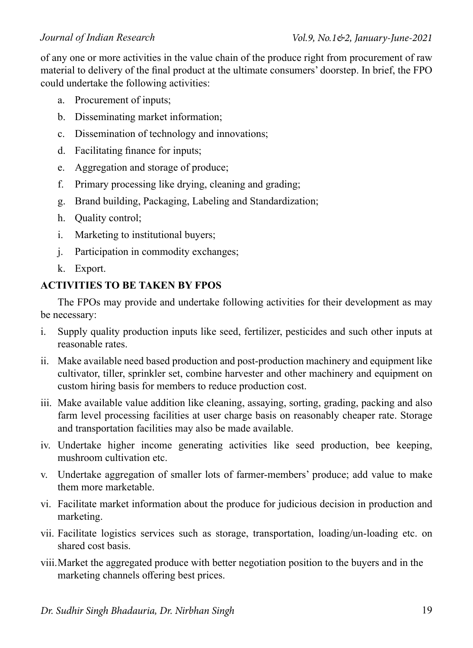of any one or more activities in the value chain of the produce right from procurement of raw material to delivery of the final product at the ultimate consumers' doorstep. In brief, the FPO could undertake the following activities:

- a. Procurement of inputs;
- b. Disseminating market information;
- c. Dissemination of technology and innovations;
- d. Facilitating finance for inputs;
- e. Aggregation and storage of produce;
- f. Primary processing like drying, cleaning and grading;
- g. Brand building, Packaging, Labeling and Standardization;
- h. Quality control;
- i. Marketing to institutional buyers;
- j. Participation in commodity exchanges;
- k. Export.

# **ACTIVITIES TO BE TAKEN BY FPOS**

The FPOs may provide and undertake following activities for their development as may be necessary:

- i. Supply quality production inputs like seed, fertilizer, pesticides and such other inputs at reasonable rates.
- ii. Make available need based production and post-production machinery and equipment like cultivator, tiller, sprinkler set, combine harvester and other machinery and equipment on custom hiring basis for members to reduce production cost.
- iii. Make available value addition like cleaning, assaying, sorting, grading, packing and also farm level processing facilities at user charge basis on reasonably cheaper rate. Storage and transportation facilities may also be made available.
- iv. Undertake higher income generating activities like seed production, bee keeping, mushroom cultivation etc.
- v. Undertake aggregation of smaller lots of farmer-members' produce; add value to make them more marketable.
- vi. Facilitate market information about the produce for judicious decision in production and marketing.
- vii. Facilitate logistics services such as storage, transportation, loading/un-loading etc. on shared cost basis.
- viii.Market the aggregated produce with better negotiation position to the buyers and in the marketing channels offering best prices.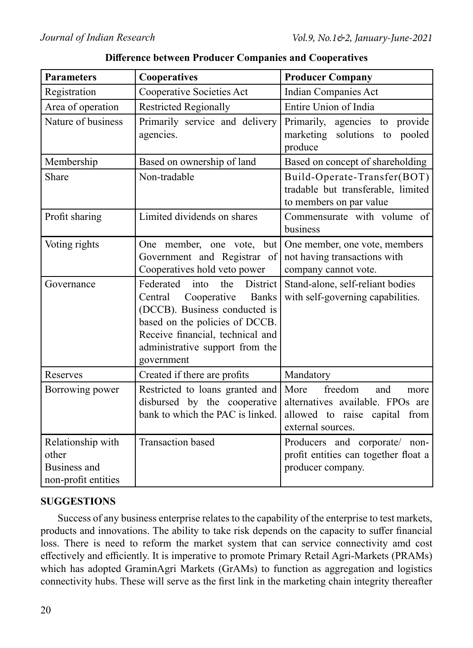| <b>Parameters</b>                                                 | Cooperatives                                                                                                                                                                                                                                  | <b>Producer Company</b>                                                                                                  |
|-------------------------------------------------------------------|-----------------------------------------------------------------------------------------------------------------------------------------------------------------------------------------------------------------------------------------------|--------------------------------------------------------------------------------------------------------------------------|
| Registration                                                      | Cooperative Societies Act                                                                                                                                                                                                                     | <b>Indian Companies Act</b>                                                                                              |
| Area of operation                                                 | <b>Restricted Regionally</b>                                                                                                                                                                                                                  | Entire Union of India                                                                                                    |
| Nature of business                                                | Primarily service and delivery<br>agencies.                                                                                                                                                                                                   | Primarily, agencies to provide<br>solutions to pooled<br>marketing<br>produce                                            |
| Membership                                                        | Based on ownership of land                                                                                                                                                                                                                    | Based on concept of shareholding                                                                                         |
| Share                                                             | Non-tradable                                                                                                                                                                                                                                  | Build-Operate-Transfer(BOT)<br>tradable but transferable, limited<br>to members on par value                             |
| Profit sharing                                                    | Limited dividends on shares                                                                                                                                                                                                                   | Commensurate with volume of<br>business                                                                                  |
| Voting rights                                                     | One member, one vote, but<br>Government and Registrar of<br>Cooperatives hold veto power                                                                                                                                                      | One member, one vote, members<br>not having transactions with<br>company cannot vote.                                    |
| Governance                                                        | <b>District</b><br>Federated<br>into<br>the<br>Cooperative<br>Central<br><b>Banks</b><br>(DCCB). Business conducted is<br>based on the policies of DCCB.<br>Receive financial, technical and<br>administrative support from the<br>government | Stand-alone, self-reliant bodies<br>with self-governing capabilities.                                                    |
| Reserves                                                          | Created if there are profits                                                                                                                                                                                                                  | Mandatory                                                                                                                |
| Borrowing power                                                   | Restricted to loans granted and<br>disbursed by the cooperative<br>bank to which the PAC is linked.                                                                                                                                           | freedom<br>More<br>and<br>more<br>alternatives available. FPOs are<br>allowed to raise capital from<br>external sources. |
| Relationship with<br>other<br>Business and<br>non-profit entities | <b>Transaction</b> based                                                                                                                                                                                                                      | Producers and corporate/ non-<br>profit entities can together float a<br>producer company.                               |

**Difference between Producer Companies and Cooperatives**

### **SUGGESTIONS**

Success of any business enterprise relates to the capability of the enterprise to test markets, products and innovations. The ability to take risk depends on the capacity to suffer financial loss. There is need to reform the market system that can service connectivity amd cost effectively and efficiently. It is imperative to promote Primary Retail Agri-Markets (PRAMs) which has adopted GraminAgri Markets (GrAMs) to function as aggregation and logistics connectivity hubs. These will serve as the first link in the marketing chain integrity thereafter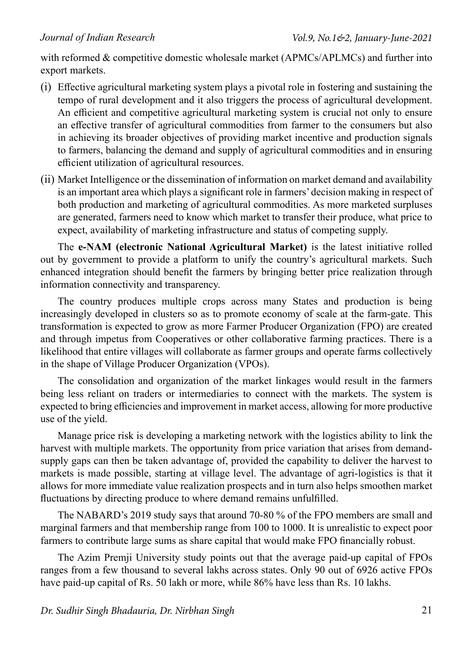with reformed & competitive domestic wholesale market (APMCs/APLMCs) and further into export markets.

- (i) Effective agricultural marketing system plays a pivotal role in fostering and sustaining the tempo of rural development and it also triggers the process of agricultural development. An efficient and competitive agricultural marketing system is crucial not only to ensure an effective transfer of agricultural commodities from farmer to the consumers but also in achieving its broader objectives of providing market incentive and production signals to farmers, balancing the demand and supply of agricultural commodities and in ensuring efficient utilization of agricultural resources.
- (ii) Market Intelligence or the dissemination of information on market demand and availability is an important area which plays a significant role in farmers' decision making in respect of both production and marketing of agricultural commodities. As more marketed surpluses are generated, farmers need to know which market to transfer their produce, what price to expect, availability of marketing infrastructure and status of competing supply.

The **e-NAM (electronic National Agricultural Market)** is the latest initiative rolled out by government to provide a platform to unify the country's agricultural markets. Such enhanced integration should benefit the farmers by bringing better price realization through information connectivity and transparency.

The country produces multiple crops across many States and production is being increasingly developed in clusters so as to promote economy of scale at the farm-gate. This transformation is expected to grow as more Farmer Producer Organization (FPO) are created and through impetus from Cooperatives or other collaborative farming practices. There is a likelihood that entire villages will collaborate as farmer groups and operate farms collectively in the shape of Village Producer Organization (VPOs).

The consolidation and organization of the market linkages would result in the farmers being less reliant on traders or intermediaries to connect with the markets. The system is expected to bring efficiencies and improvement in market access, allowing for more productive use of the yield.

Manage price risk is developing a marketing network with the logistics ability to link the harvest with multiple markets. The opportunity from price variation that arises from demandsupply gaps can then be taken advantage of, provided the capability to deliver the harvest to markets is made possible, starting at village level. The advantage of agri-logistics is that it allows for more immediate value realization prospects and in turn also helps smoothen market fluctuations by directing produce to where demand remains unfulfilled.

The NABARD's 2019 study says that around 70-80 % of the FPO members are small and marginal farmers and that membership range from 100 to 1000. It is unrealistic to expect poor farmers to contribute large sums as share capital that would make FPO financially robust.

The Azim Premji University study points out that the average paid-up capital of FPOs ranges from a few thousand to several lakhs across states. Only 90 out of 6926 active FPOs have paid-up capital of Rs. 50 lakh or more, while 86% have less than Rs. 10 lakhs.